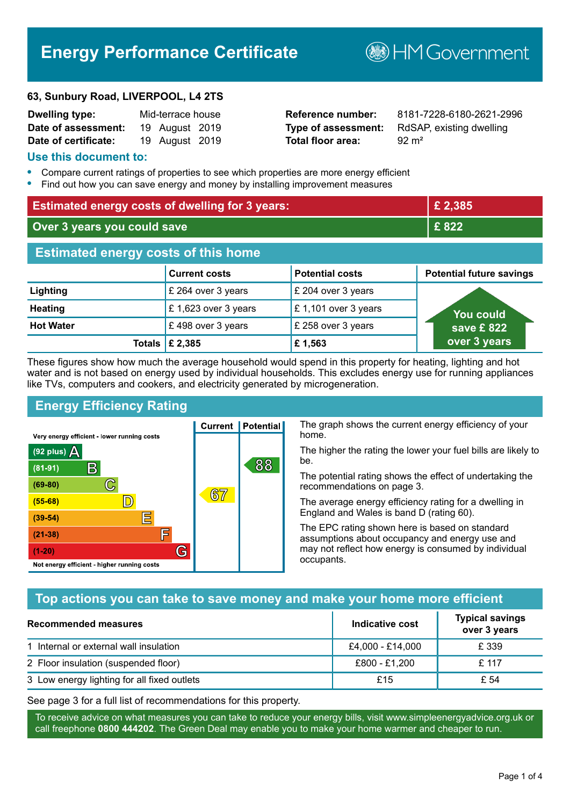# **Energy Performance Certificate**

#### **63, Sunbury Road, LIVERPOOL, L4 2TS**

| <b>Dwelling type:</b> | Mid-terrace house |  |
|-----------------------|-------------------|--|
| Date of assessment:   | 19 August 2019    |  |
| Date of certificate:  | 19 August 2019    |  |

# **Total floor area:** 92 m<sup>2</sup>

**Reference number:** 8181-7228-6180-2621-2996 **Type of assessment:** RdSAP, existing dwelling

**B**HM Government

#### **Use this document to:**

- **•** Compare current ratings of properties to see which properties are more energy efficient
- **•** Find out how you can save energy and money by installing improvement measures

| <b>Estimated energy costs of dwelling for 3 years:</b> |                                 |                        | £2,385                          |
|--------------------------------------------------------|---------------------------------|------------------------|---------------------------------|
| Over 3 years you could save                            |                                 |                        | £822                            |
| <b>Estimated energy costs of this home</b>             |                                 |                        |                                 |
|                                                        | <b>Current costs</b>            | <b>Potential costs</b> | <b>Potential future savings</b> |
| Lighting                                               | £ 264 over 3 years              | £ 204 over 3 years     |                                 |
| <b>Heating</b>                                         | £ 1,623 over 3 years            | £1,101 over 3 years    | You could                       |
| <b>Hot Water</b>                                       | £498 over 3 years               | £ 258 over 3 years     | save £822                       |
|                                                        | Totals $\mathbf \epsilon$ 2,385 | £1,563                 | over 3 years                    |

These figures show how much the average household would spend in this property for heating, lighting and hot water and is not based on energy used by individual households. This excludes energy use for running appliances like TVs, computers and cookers, and electricity generated by microgeneration.

**Current | Potential** 

 $67$ 

# **Energy Efficiency Rating**

 $\mathbb{C}$ 

 $\mathbb{D}$ 

E

E

G

Very energy efficient - lower running costs

 $\mathsf{R}% _{T}$ 

Not energy efficient - higher running costs

(92 plus)  $\Delta$ 

 $(81 - 91)$ 

 $(69 - 80)$ 

 $(55-68)$ 

 $(39 - 54)$  $(21-38)$ 

 $(1-20)$ 

The graph shows the current energy efficiency of your home.

The higher the rating the lower your fuel bills are likely to be.

The potential rating shows the effect of undertaking the recommendations on page 3.

The average energy efficiency rating for a dwelling in England and Wales is band D (rating 60).

The EPC rating shown here is based on standard assumptions about occupancy and energy use and may not reflect how energy is consumed by individual occupants.

# **Top actions you can take to save money and make your home more efficient**

88

| Recommended measures                        | Indicative cost  | <b>Typical savings</b><br>over 3 years |
|---------------------------------------------|------------------|----------------------------------------|
| 1 Internal or external wall insulation      | £4,000 - £14,000 | £ 339                                  |
| 2 Floor insulation (suspended floor)        | £800 - £1,200    | £ 117                                  |
| 3 Low energy lighting for all fixed outlets | £15              | £ 54                                   |

See page 3 for a full list of recommendations for this property.

To receive advice on what measures you can take to reduce your energy bills, visit www.simpleenergyadvice.org.uk or call freephone **0800 444202**. The Green Deal may enable you to make your home warmer and cheaper to run.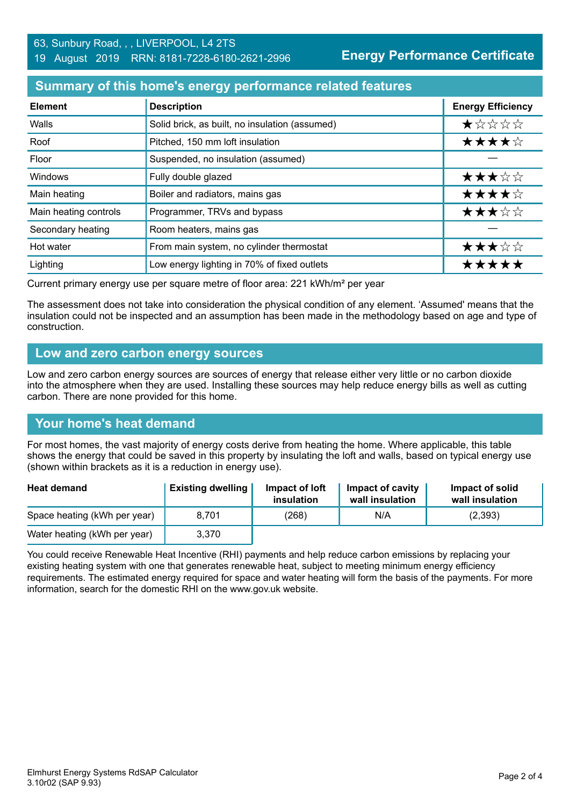**Energy Performance Certificate**

#### **Summary of this home's energy performance related features**

| <b>Element</b>        | <b>Description</b>                             | <b>Energy Efficiency</b> |
|-----------------------|------------------------------------------------|--------------------------|
| Walls                 | Solid brick, as built, no insulation (assumed) | ★☆☆☆☆                    |
| Roof                  | Pitched, 150 mm loft insulation                | ★★★★☆                    |
| Floor                 | Suspended, no insulation (assumed)             |                          |
| Windows               | Fully double glazed                            | ★★★☆☆                    |
| Main heating          | Boiler and radiators, mains gas                | ★★★★☆                    |
| Main heating controls | Programmer, TRVs and bypass                    | ★★★☆☆                    |
| Secondary heating     | Room heaters, mains gas                        |                          |
| Hot water             | From main system, no cylinder thermostat       | ★★★☆☆                    |
| Lighting              | Low energy lighting in 70% of fixed outlets    | *****                    |

Current primary energy use per square metre of floor area: 221 kWh/m² per year

The assessment does not take into consideration the physical condition of any element. 'Assumed' means that the insulation could not be inspected and an assumption has been made in the methodology based on age and type of construction.

#### **Low and zero carbon energy sources**

Low and zero carbon energy sources are sources of energy that release either very little or no carbon dioxide into the atmosphere when they are used. Installing these sources may help reduce energy bills as well as cutting carbon. There are none provided for this home.

# **Your home's heat demand**

For most homes, the vast majority of energy costs derive from heating the home. Where applicable, this table shows the energy that could be saved in this property by insulating the loft and walls, based on typical energy use (shown within brackets as it is a reduction in energy use).

| <b>Heat demand</b>           | <b>Existing dwelling</b> | Impact of loft<br>insulation | Impact of cavity<br>wall insulation | Impact of solid<br>wall insulation |
|------------------------------|--------------------------|------------------------------|-------------------------------------|------------------------------------|
| Space heating (kWh per year) | 8.701                    | (268)                        | N/A                                 | (2,393)                            |
| Water heating (kWh per year) | 3,370                    |                              |                                     |                                    |

You could receive Renewable Heat Incentive (RHI) payments and help reduce carbon emissions by replacing your existing heating system with one that generates renewable heat, subject to meeting minimum energy efficiency requirements. The estimated energy required for space and water heating will form the basis of the payments. For more information, search for the domestic RHI on the www.gov.uk website.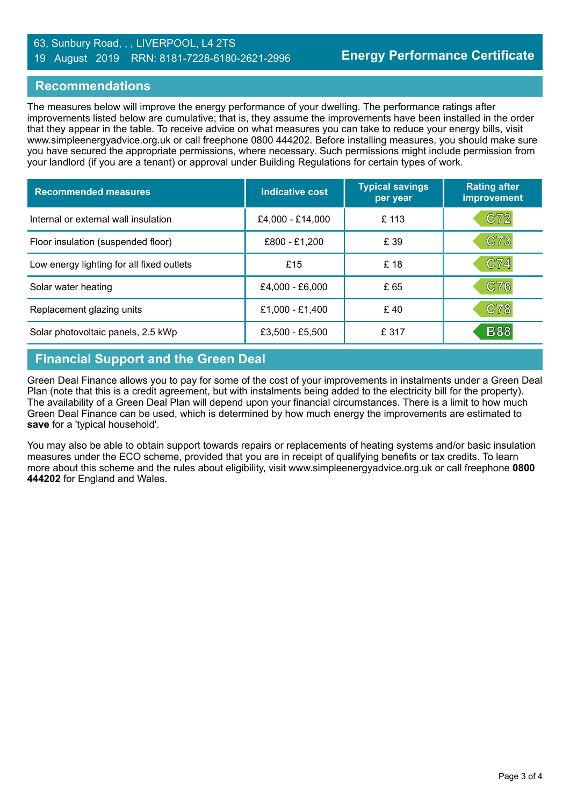#### 63, Sunbury Road, , , LIVERPOOL, L4 2TS 19 August 2019 RRN: 8181-7228-6180-2621-2996

#### **Recommendations**

The measures below will improve the energy performance of your dwelling. The performance ratings after improvements listed below are cumulative; that is, they assume the improvements have been installed in the order that they appear in the table. To receive advice on what measures you can take to reduce your energy bills, visit www.simpleenergyadvice.org.uk or call freephone 0800 444202. Before installing measures, you should make sure you have secured the appropriate permissions, where necessary. Such permissions might include permission from your landlord (if you are a tenant) or approval under Building Regulations for certain types of work.

| <b>Recommended measures</b>               | Indicative cost  | <b>Typical savings</b><br>per year | <b>Rating after</b><br>improvement |
|-------------------------------------------|------------------|------------------------------------|------------------------------------|
| Internal or external wall insulation      | £4,000 - £14,000 | £113                               | C72                                |
| Floor insulation (suspended floor)        | £800 - £1,200    | £ 39                               | C73                                |
| Low energy lighting for all fixed outlets | £15              | £18                                | C74                                |
| Solar water heating                       | £4,000 - £6,000  | £ 65                               | C76                                |
| Replacement glazing units                 | £1,000 - £1,400  | £40                                | C78                                |
| Solar photovoltaic panels, 2.5 kWp        | £3,500 - £5,500  | £ 317                              | <b>B88</b>                         |

# **Financial Support and the Green Deal**

Green Deal Finance allows you to pay for some of the cost of your improvements in instalments under a Green Deal Plan (note that this is a credit agreement, but with instalments being added to the electricity bill for the property). The availability of a Green Deal Plan will depend upon your financial circumstances. There is a limit to how much Green Deal Finance can be used, which is determined by how much energy the improvements are estimated to **save** for a 'typical household'.

You may also be able to obtain support towards repairs or replacements of heating systems and/or basic insulation measures under the ECO scheme, provided that you are in receipt of qualifying benefits or tax credits. To learn more about this scheme and the rules about eligibility, visit www.simpleenergyadvice.org.uk or call freephone **0800 444202** for England and Wales.